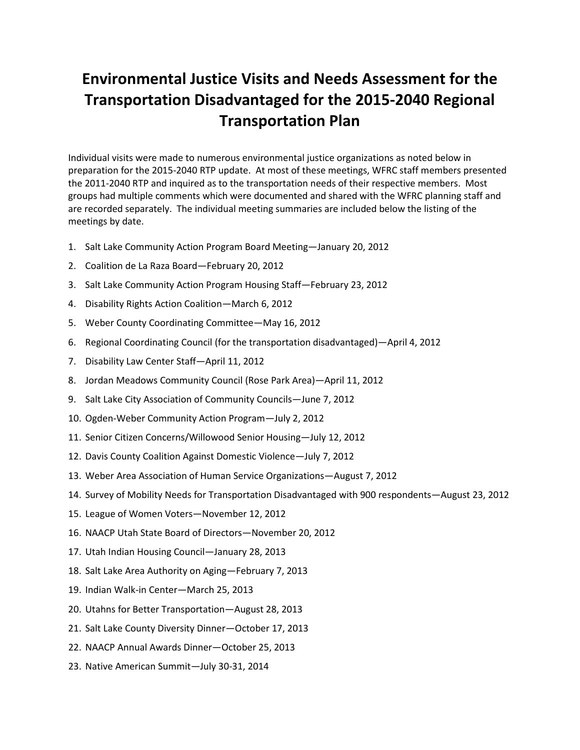### **Environmental Justice Visits and Needs Assessment for the Transportation Disadvantaged for the 2015-2040 Regional Transportation Plan**

Individual visits were made to numerous environmental justice organizations as noted below in preparation for the 2015-2040 RTP update. At most of these meetings, WFRC staff members presented the 2011-2040 RTP and inquired as to the transportation needs of their respective members. Most groups had multiple comments which were documented and shared with the WFRC planning staff and are recorded separately. The individual meeting summaries are included below the listing of the meetings by date.

- 1. Salt Lake Community Action Program Board Meeting—January 20, 2012
- 2. Coalition de La Raza Board—February 20, 2012
- 3. Salt Lake Community Action Program Housing Staff—February 23, 2012
- 4. Disability Rights Action Coalition—March 6, 2012
- 5. Weber County Coordinating Committee—May 16, 2012
- 6. Regional Coordinating Council (for the transportation disadvantaged)—April 4, 2012
- 7. Disability Law Center Staff—April 11, 2012
- 8. Jordan Meadows Community Council (Rose Park Area)—April 11, 2012
- 9. Salt Lake City Association of Community Councils—June 7, 2012
- 10. Ogden-Weber Community Action Program—July 2, 2012
- 11. Senior Citizen Concerns/Willowood Senior Housing—July 12, 2012
- 12. Davis County Coalition Against Domestic Violence—July 7, 2012
- 13. Weber Area Association of Human Service Organizations—August 7, 2012
- 14. Survey of Mobility Needs for Transportation Disadvantaged with 900 respondents—August 23, 2012
- 15. League of Women Voters—November 12, 2012
- 16. NAACP Utah State Board of Directors—November 20, 2012
- 17. Utah Indian Housing Council—January 28, 2013
- 18. Salt Lake Area Authority on Aging—February 7, 2013
- 19. Indian Walk-in Center—March 25, 2013
- 20. Utahns for Better Transportation—August 28, 2013
- 21. Salt Lake County Diversity Dinner—October 17, 2013
- 22. NAACP Annual Awards Dinner—October 25, 2013
- 23. Native American Summit—July 30-31, 2014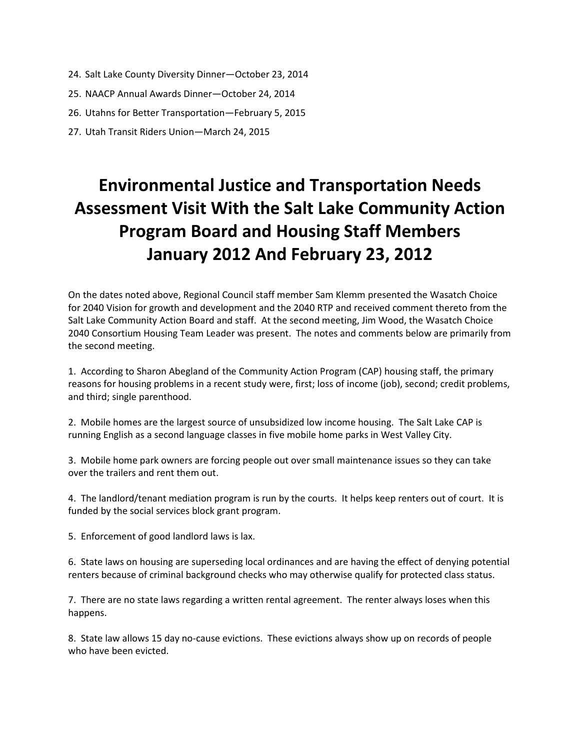- 24. Salt Lake County Diversity Dinner—October 23, 2014
- 25. NAACP Annual Awards Dinner—October 24, 2014
- 26. Utahns for Better Transportation—February 5, 2015
- 27. Utah Transit Riders Union—March 24, 2015

# **Environmental Justice and Transportation Needs Assessment Visit With the Salt Lake Community Action Program Board and Housing Staff Members January 2012 And February 23, 2012**

On the dates noted above, Regional Council staff member Sam Klemm presented the Wasatch Choice for 2040 Vision for growth and development and the 2040 RTP and received comment thereto from the Salt Lake Community Action Board and staff. At the second meeting, Jim Wood, the Wasatch Choice 2040 Consortium Housing Team Leader was present. The notes and comments below are primarily from the second meeting.

1. According to Sharon Abegland of the Community Action Program (CAP) housing staff, the primary reasons for housing problems in a recent study were, first; loss of income (job), second; credit problems, and third; single parenthood.

2. Mobile homes are the largest source of unsubsidized low income housing. The Salt Lake CAP is running English as a second language classes in five mobile home parks in West Valley City.

3. Mobile home park owners are forcing people out over small maintenance issues so they can take over the trailers and rent them out.

4. The landlord/tenant mediation program is run by the courts. It helps keep renters out of court. It is funded by the social services block grant program.

5. Enforcement of good landlord laws is lax.

6. State laws on housing are superseding local ordinances and are having the effect of denying potential renters because of criminal background checks who may otherwise qualify for protected class status.

7. There are no state laws regarding a written rental agreement. The renter always loses when this happens.

8. State law allows 15 day no-cause evictions. These evictions always show up on records of people who have been evicted.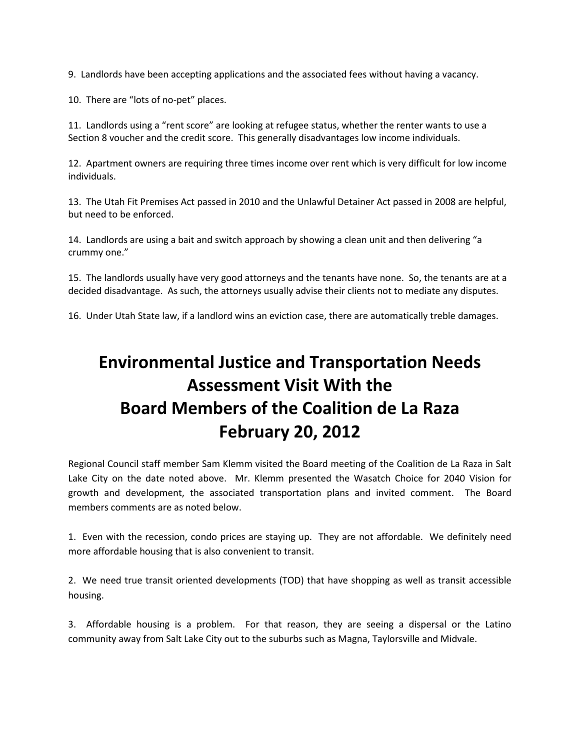9. Landlords have been accepting applications and the associated fees without having a vacancy.

10. There are "lots of no-pet" places.

11. Landlords using a "rent score" are looking at refugee status, whether the renter wants to use a Section 8 voucher and the credit score. This generally disadvantages low income individuals.

12. Apartment owners are requiring three times income over rent which is very difficult for low income individuals.

13. The Utah Fit Premises Act passed in 2010 and the Unlawful Detainer Act passed in 2008 are helpful, but need to be enforced.

14. Landlords are using a bait and switch approach by showing a clean unit and then delivering "a crummy one."

15. The landlords usually have very good attorneys and the tenants have none. So, the tenants are at a decided disadvantage. As such, the attorneys usually advise their clients not to mediate any disputes.

16. Under Utah State law, if a landlord wins an eviction case, there are automatically treble damages.

# **Environmental Justice and Transportation Needs Assessment Visit With the Board Members of the Coalition de La Raza February 20, 2012**

Regional Council staff member Sam Klemm visited the Board meeting of the Coalition de La Raza in Salt Lake City on the date noted above. Mr. Klemm presented the Wasatch Choice for 2040 Vision for growth and development, the associated transportation plans and invited comment. The Board members comments are as noted below.

1. Even with the recession, condo prices are staying up. They are not affordable. We definitely need more affordable housing that is also convenient to transit.

2. We need true transit oriented developments (TOD) that have shopping as well as transit accessible housing.

3. Affordable housing is a problem. For that reason, they are seeing a dispersal or the Latino community away from Salt Lake City out to the suburbs such as Magna, Taylorsville and Midvale.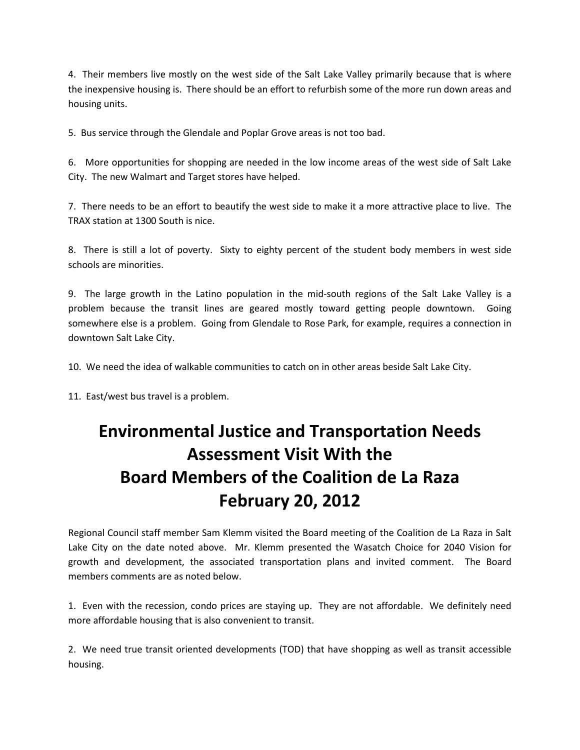4. Their members live mostly on the west side of the Salt Lake Valley primarily because that is where the inexpensive housing is. There should be an effort to refurbish some of the more run down areas and housing units.

5. Bus service through the Glendale and Poplar Grove areas is not too bad.

6. More opportunities for shopping are needed in the low income areas of the west side of Salt Lake City. The new Walmart and Target stores have helped.

7. There needs to be an effort to beautify the west side to make it a more attractive place to live. The TRAX station at 1300 South is nice.

8. There is still a lot of poverty. Sixty to eighty percent of the student body members in west side schools are minorities.

9. The large growth in the Latino population in the mid-south regions of the Salt Lake Valley is a problem because the transit lines are geared mostly toward getting people downtown. Going somewhere else is a problem. Going from Glendale to Rose Park, for example, requires a connection in downtown Salt Lake City.

10. We need the idea of walkable communities to catch on in other areas beside Salt Lake City.

11. East/west bus travel is a problem.

# **Environmental Justice and Transportation Needs Assessment Visit With the Board Members of the Coalition de La Raza February 20, 2012**

Regional Council staff member Sam Klemm visited the Board meeting of the Coalition de La Raza in Salt Lake City on the date noted above. Mr. Klemm presented the Wasatch Choice for 2040 Vision for growth and development, the associated transportation plans and invited comment. The Board members comments are as noted below.

1. Even with the recession, condo prices are staying up. They are not affordable. We definitely need more affordable housing that is also convenient to transit.

2. We need true transit oriented developments (TOD) that have shopping as well as transit accessible housing.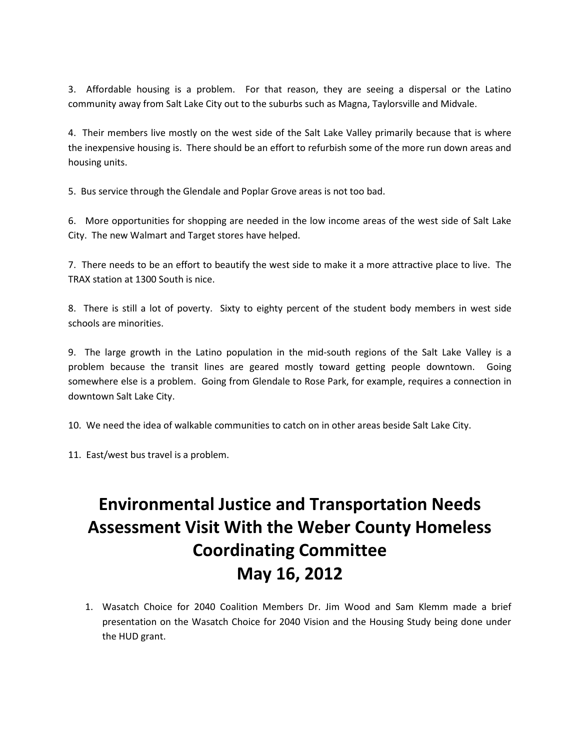3. Affordable housing is a problem. For that reason, they are seeing a dispersal or the Latino community away from Salt Lake City out to the suburbs such as Magna, Taylorsville and Midvale.

4. Their members live mostly on the west side of the Salt Lake Valley primarily because that is where the inexpensive housing is. There should be an effort to refurbish some of the more run down areas and housing units.

5. Bus service through the Glendale and Poplar Grove areas is not too bad.

6. More opportunities for shopping are needed in the low income areas of the west side of Salt Lake City. The new Walmart and Target stores have helped.

7. There needs to be an effort to beautify the west side to make it a more attractive place to live. The TRAX station at 1300 South is nice.

8. There is still a lot of poverty. Sixty to eighty percent of the student body members in west side schools are minorities.

9. The large growth in the Latino population in the mid-south regions of the Salt Lake Valley is a problem because the transit lines are geared mostly toward getting people downtown. Going somewhere else is a problem. Going from Glendale to Rose Park, for example, requires a connection in downtown Salt Lake City.

10. We need the idea of walkable communities to catch on in other areas beside Salt Lake City.

11. East/west bus travel is a problem.

# **Environmental Justice and Transportation Needs Assessment Visit With the Weber County Homeless Coordinating Committee May 16, 2012**

1. Wasatch Choice for 2040 Coalition Members Dr. Jim Wood and Sam Klemm made a brief presentation on the Wasatch Choice for 2040 Vision and the Housing Study being done under the HUD grant.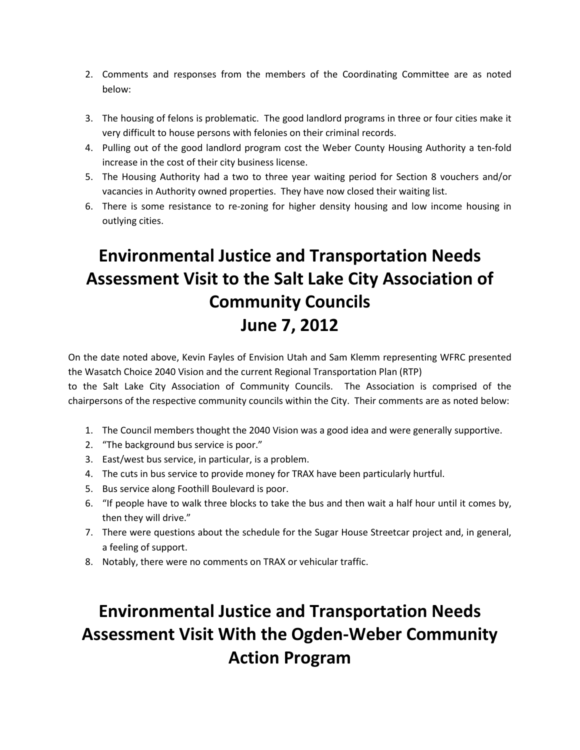- 2. Comments and responses from the members of the Coordinating Committee are as noted below:
- 3. The housing of felons is problematic. The good landlord programs in three or four cities make it very difficult to house persons with felonies on their criminal records.
- 4. Pulling out of the good landlord program cost the Weber County Housing Authority a ten-fold increase in the cost of their city business license.
- 5. The Housing Authority had a two to three year waiting period for Section 8 vouchers and/or vacancies in Authority owned properties. They have now closed their waiting list.
- 6. There is some resistance to re-zoning for higher density housing and low income housing in outlying cities.

# **Environmental Justice and Transportation Needs Assessment Visit to the Salt Lake City Association of Community Councils June 7, 2012**

On the date noted above, Kevin Fayles of Envision Utah and Sam Klemm representing WFRC presented the Wasatch Choice 2040 Vision and the current Regional Transportation Plan (RTP)

to the Salt Lake City Association of Community Councils. The Association is comprised of the chairpersons of the respective community councils within the City. Their comments are as noted below:

- 1. The Council members thought the 2040 Vision was a good idea and were generally supportive.
- 2. "The background bus service is poor."
- 3. East/west bus service, in particular, is a problem.
- 4. The cuts in bus service to provide money for TRAX have been particularly hurtful.
- 5. Bus service along Foothill Boulevard is poor.
- 6. "If people have to walk three blocks to take the bus and then wait a half hour until it comes by, then they will drive."
- 7. There were questions about the schedule for the Sugar House Streetcar project and, in general, a feeling of support.
- 8. Notably, there were no comments on TRAX or vehicular traffic.

# **Environmental Justice and Transportation Needs Assessment Visit With the Ogden-Weber Community Action Program**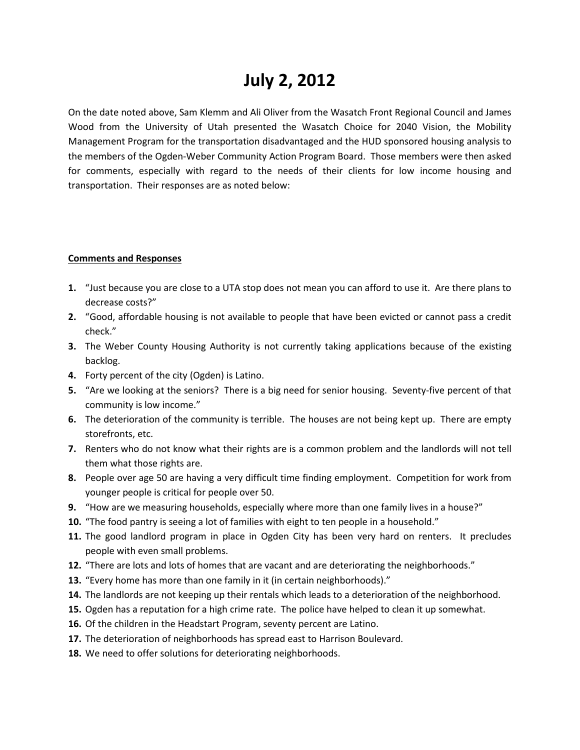### **July 2, 2012**

On the date noted above, Sam Klemm and Ali Oliver from the Wasatch Front Regional Council and James Wood from the University of Utah presented the Wasatch Choice for 2040 Vision, the Mobility Management Program for the transportation disadvantaged and the HUD sponsored housing analysis to the members of the Ogden-Weber Community Action Program Board. Those members were then asked for comments, especially with regard to the needs of their clients for low income housing and transportation. Their responses are as noted below:

### **Comments and Responses**

- **1.** "Just because you are close to a UTA stop does not mean you can afford to use it. Are there plans to decrease costs?"
- **2.** "Good, affordable housing is not available to people that have been evicted or cannot pass a credit check."
- **3.** The Weber County Housing Authority is not currently taking applications because of the existing backlog.
- **4.** Forty percent of the city (Ogden) is Latino.
- **5.** "Are we looking at the seniors? There is a big need for senior housing. Seventy-five percent of that community is low income."
- **6.** The deterioration of the community is terrible. The houses are not being kept up. There are empty storefronts, etc.
- **7.** Renters who do not know what their rights are is a common problem and the landlords will not tell them what those rights are.
- **8.** People over age 50 are having a very difficult time finding employment. Competition for work from younger people is critical for people over 50.
- **9.** "How are we measuring households, especially where more than one family lives in a house?"
- **10.** "The food pantry is seeing a lot of families with eight to ten people in a household."
- **11.** The good landlord program in place in Ogden City has been very hard on renters. It precludes people with even small problems.
- **12.** "There are lots and lots of homes that are vacant and are deteriorating the neighborhoods."
- **13.** "Every home has more than one family in it (in certain neighborhoods)."
- **14.** The landlords are not keeping up their rentals which leads to a deterioration of the neighborhood.
- **15.** Ogden has a reputation for a high crime rate. The police have helped to clean it up somewhat.
- **16.** Of the children in the Headstart Program, seventy percent are Latino.
- **17.** The deterioration of neighborhoods has spread east to Harrison Boulevard.
- **18.** We need to offer solutions for deteriorating neighborhoods.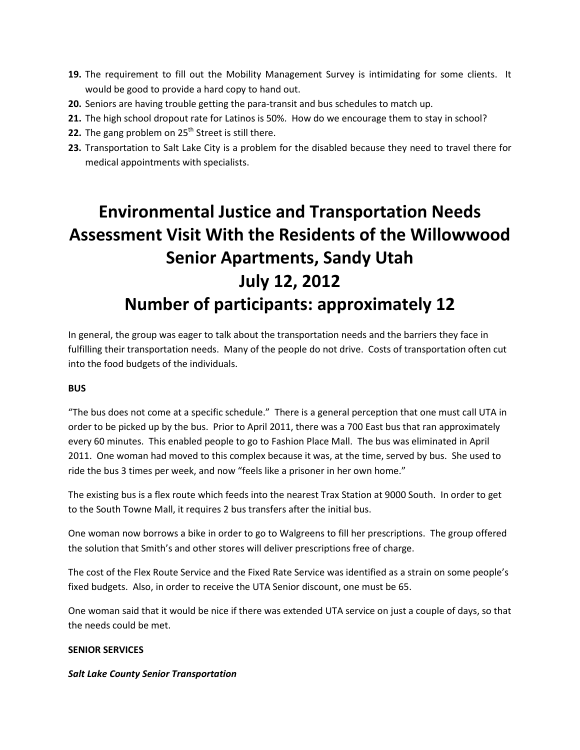- **19.** The requirement to fill out the Mobility Management Survey is intimidating for some clients. It would be good to provide a hard copy to hand out.
- **20.** Seniors are having trouble getting the para-transit and bus schedules to match up.
- **21.** The high school dropout rate for Latinos is 50%. How do we encourage them to stay in school?
- **22.** The gang problem on 25<sup>th</sup> Street is still there.
- **23.** Transportation to Salt Lake City is a problem for the disabled because they need to travel there for medical appointments with specialists.

# **Environmental Justice and Transportation Needs Assessment Visit With the Residents of the Willowwood Senior Apartments, Sandy Utah July 12, 2012 Number of participants: approximately 12**

In general, the group was eager to talk about the transportation needs and the barriers they face in fulfilling their transportation needs. Many of the people do not drive. Costs of transportation often cut into the food budgets of the individuals.

### **BUS**

"The bus does not come at a specific schedule." There is a general perception that one must call UTA in order to be picked up by the bus. Prior to April 2011, there was a 700 East bus that ran approximately every 60 minutes. This enabled people to go to Fashion Place Mall. The bus was eliminated in April 2011. One woman had moved to this complex because it was, at the time, served by bus. She used to ride the bus 3 times per week, and now "feels like a prisoner in her own home."

The existing bus is a flex route which feeds into the nearest Trax Station at 9000 South. In order to get to the South Towne Mall, it requires 2 bus transfers after the initial bus.

One woman now borrows a bike in order to go to Walgreens to fill her prescriptions. The group offered the solution that Smith's and other stores will deliver prescriptions free of charge.

The cost of the Flex Route Service and the Fixed Rate Service was identified as a strain on some people's fixed budgets. Also, in order to receive the UTA Senior discount, one must be 65.

One woman said that it would be nice if there was extended UTA service on just a couple of days, so that the needs could be met.

### **SENIOR SERVICES**

### *Salt Lake County Senior Transportation*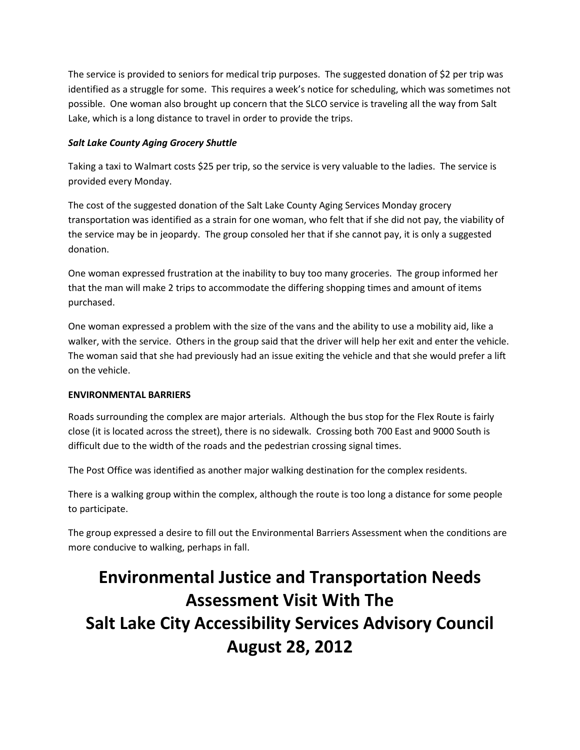The service is provided to seniors for medical trip purposes. The suggested donation of \$2 per trip was identified as a struggle for some. This requires a week's notice for scheduling, which was sometimes not possible. One woman also brought up concern that the SLCO service is traveling all the way from Salt Lake, which is a long distance to travel in order to provide the trips.

### *Salt Lake County Aging Grocery Shuttle*

Taking a taxi to Walmart costs \$25 per trip, so the service is very valuable to the ladies. The service is provided every Monday.

The cost of the suggested donation of the Salt Lake County Aging Services Monday grocery transportation was identified as a strain for one woman, who felt that if she did not pay, the viability of the service may be in jeopardy. The group consoled her that if she cannot pay, it is only a suggested donation.

One woman expressed frustration at the inability to buy too many groceries. The group informed her that the man will make 2 trips to accommodate the differing shopping times and amount of items purchased.

One woman expressed a problem with the size of the vans and the ability to use a mobility aid, like a walker, with the service. Others in the group said that the driver will help her exit and enter the vehicle. The woman said that she had previously had an issue exiting the vehicle and that she would prefer a lift on the vehicle.

### **ENVIRONMENTAL BARRIERS**

Roads surrounding the complex are major arterials. Although the bus stop for the Flex Route is fairly close (it is located across the street), there is no sidewalk. Crossing both 700 East and 9000 South is difficult due to the width of the roads and the pedestrian crossing signal times.

The Post Office was identified as another major walking destination for the complex residents.

There is a walking group within the complex, although the route is too long a distance for some people to participate.

The group expressed a desire to fill out the Environmental Barriers Assessment when the conditions are more conducive to walking, perhaps in fall.

# **Environmental Justice and Transportation Needs Assessment Visit With The Salt Lake City Accessibility Services Advisory Council August 28, 2012**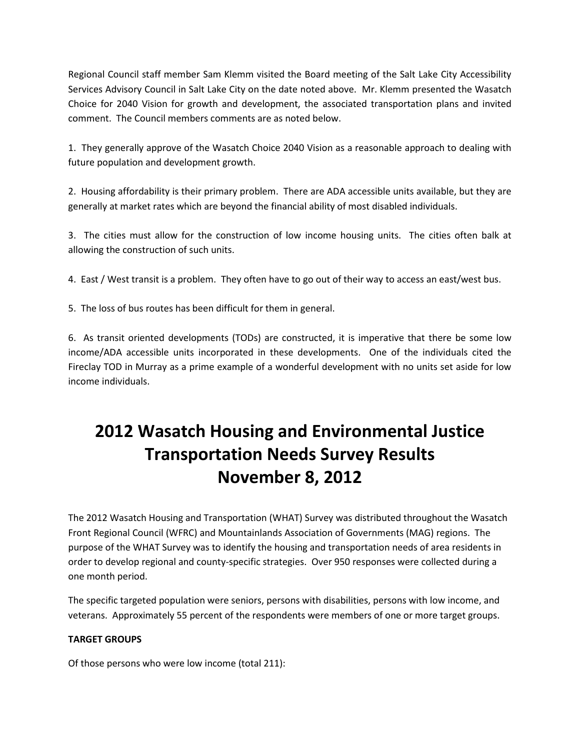Regional Council staff member Sam Klemm visited the Board meeting of the Salt Lake City Accessibility Services Advisory Council in Salt Lake City on the date noted above. Mr. Klemm presented the Wasatch Choice for 2040 Vision for growth and development, the associated transportation plans and invited comment. The Council members comments are as noted below.

1. They generally approve of the Wasatch Choice 2040 Vision as a reasonable approach to dealing with future population and development growth.

2. Housing affordability is their primary problem. There are ADA accessible units available, but they are generally at market rates which are beyond the financial ability of most disabled individuals.

3. The cities must allow for the construction of low income housing units. The cities often balk at allowing the construction of such units.

4. East / West transit is a problem. They often have to go out of their way to access an east/west bus.

5. The loss of bus routes has been difficult for them in general.

6. As transit oriented developments (TODs) are constructed, it is imperative that there be some low income/ADA accessible units incorporated in these developments. One of the individuals cited the Fireclay TOD in Murray as a prime example of a wonderful development with no units set aside for low income individuals.

# **2012 Wasatch Housing and Environmental Justice Transportation Needs Survey Results November 8, 2012**

The 2012 Wasatch Housing and Transportation (WHAT) Survey was distributed throughout the Wasatch Front Regional Council (WFRC) and Mountainlands Association of Governments (MAG) regions. The purpose of the WHAT Survey was to identify the housing and transportation needs of area residents in order to develop regional and county-specific strategies. Over 950 responses were collected during a one month period.

The specific targeted population were seniors, persons with disabilities, persons with low income, and veterans. Approximately 55 percent of the respondents were members of one or more target groups.

### **TARGET GROUPS**

Of those persons who were low income (total 211):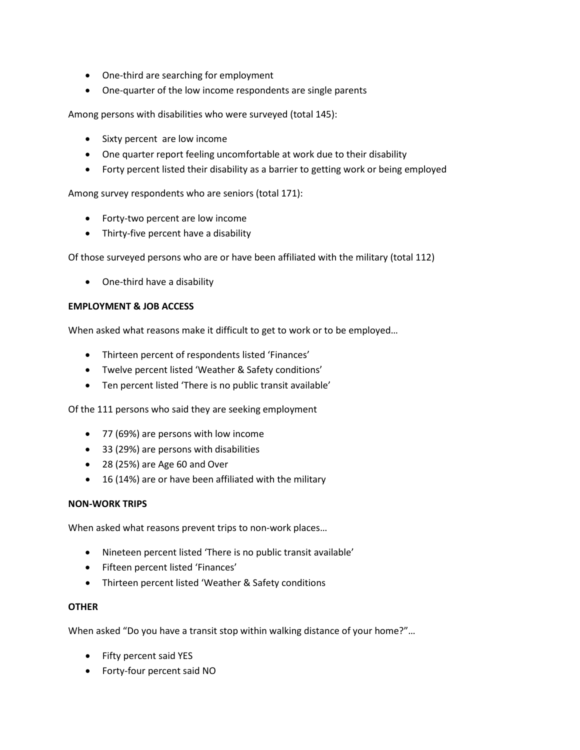- One-third are searching for employment
- One-quarter of the low income respondents are single parents

Among persons with disabilities who were surveyed (total 145):

- Sixty percent are low income
- One quarter report feeling uncomfortable at work due to their disability
- Forty percent listed their disability as a barrier to getting work or being employed

Among survey respondents who are seniors (total 171):

- Forty-two percent are low income
- Thirty-five percent have a disability

Of those surveyed persons who are or have been affiliated with the military (total 112)

• One-third have a disability

### **EMPLOYMENT & JOB ACCESS**

When asked what reasons make it difficult to get to work or to be employed…

- Thirteen percent of respondents listed 'Finances'
- Twelve percent listed 'Weather & Safety conditions'
- Ten percent listed 'There is no public transit available'

Of the 111 persons who said they are seeking employment

- 77 (69%) are persons with low income
- 33 (29%) are persons with disabilities
- 28 (25%) are Age 60 and Over
- 16 (14%) are or have been affiliated with the military

### **NON-WORK TRIPS**

When asked what reasons prevent trips to non-work places…

- Nineteen percent listed 'There is no public transit available'
- Fifteen percent listed 'Finances'
- Thirteen percent listed 'Weather & Safety conditions

### **OTHER**

When asked "Do you have a transit stop within walking distance of your home?"…

- Fifty percent said YES
- Forty-four percent said NO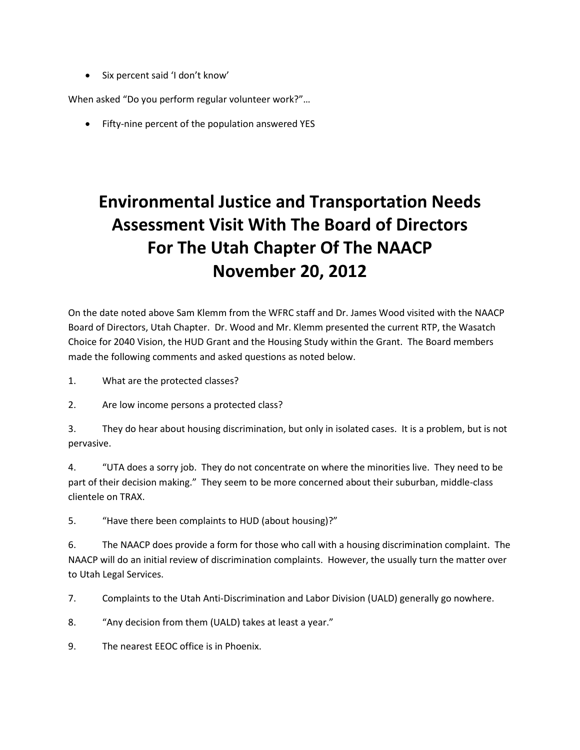• Six percent said 'I don't know'

When asked "Do you perform regular volunteer work?"…

• Fifty-nine percent of the population answered YES

# **Environmental Justice and Transportation Needs Assessment Visit With The Board of Directors For The Utah Chapter Of The NAACP November 20, 2012**

On the date noted above Sam Klemm from the WFRC staff and Dr. James Wood visited with the NAACP Board of Directors, Utah Chapter. Dr. Wood and Mr. Klemm presented the current RTP, the Wasatch Choice for 2040 Vision, the HUD Grant and the Housing Study within the Grant. The Board members made the following comments and asked questions as noted below.

- 1. What are the protected classes?
- 2. Are low income persons a protected class?

3. They do hear about housing discrimination, but only in isolated cases. It is a problem, but is not pervasive.

4. "UTA does a sorry job. They do not concentrate on where the minorities live. They need to be part of their decision making." They seem to be more concerned about their suburban, middle-class clientele on TRAX.

5. "Have there been complaints to HUD (about housing)?"

6. The NAACP does provide a form for those who call with a housing discrimination complaint. The NAACP will do an initial review of discrimination complaints. However, the usually turn the matter over to Utah Legal Services.

7. Complaints to the Utah Anti-Discrimination and Labor Division (UALD) generally go nowhere.

8. "Any decision from them (UALD) takes at least a year."

9. The nearest EEOC office is in Phoenix.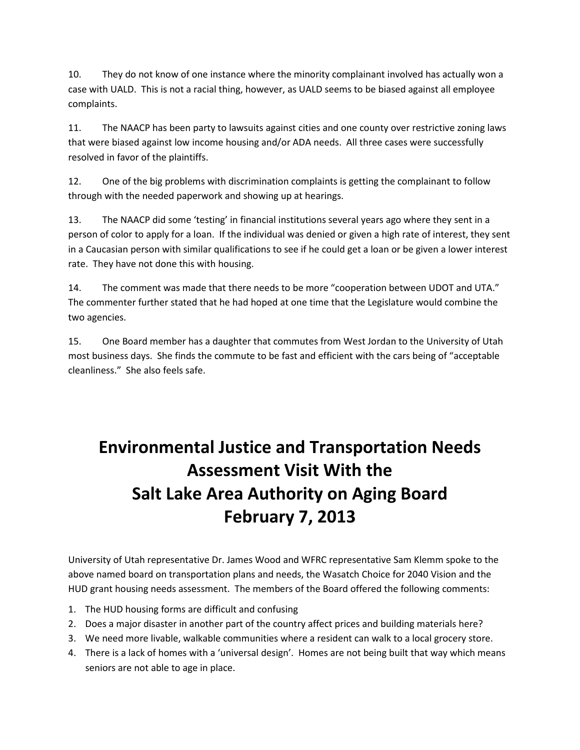10. They do not know of one instance where the minority complainant involved has actually won a case with UALD. This is not a racial thing, however, as UALD seems to be biased against all employee complaints.

11. The NAACP has been party to lawsuits against cities and one county over restrictive zoning laws that were biased against low income housing and/or ADA needs. All three cases were successfully resolved in favor of the plaintiffs.

12. One of the big problems with discrimination complaints is getting the complainant to follow through with the needed paperwork and showing up at hearings.

13. The NAACP did some 'testing' in financial institutions several years ago where they sent in a person of color to apply for a loan. If the individual was denied or given a high rate of interest, they sent in a Caucasian person with similar qualifications to see if he could get a loan or be given a lower interest rate. They have not done this with housing.

14. The comment was made that there needs to be more "cooperation between UDOT and UTA." The commenter further stated that he had hoped at one time that the Legislature would combine the two agencies.

15. One Board member has a daughter that commutes from West Jordan to the University of Utah most business days. She finds the commute to be fast and efficient with the cars being of "acceptable cleanliness." She also feels safe.

# **Environmental Justice and Transportation Needs Assessment Visit With the Salt Lake Area Authority on Aging Board February 7, 2013**

University of Utah representative Dr. James Wood and WFRC representative Sam Klemm spoke to the above named board on transportation plans and needs, the Wasatch Choice for 2040 Vision and the HUD grant housing needs assessment. The members of the Board offered the following comments:

- 1. The HUD housing forms are difficult and confusing
- 2. Does a major disaster in another part of the country affect prices and building materials here?
- 3. We need more livable, walkable communities where a resident can walk to a local grocery store.
- 4. There is a lack of homes with a 'universal design'. Homes are not being built that way which means seniors are not able to age in place.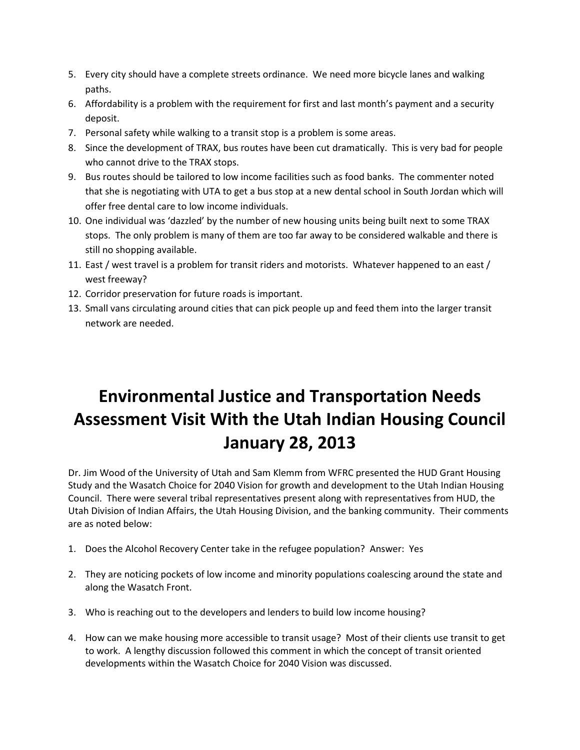- 5. Every city should have a complete streets ordinance. We need more bicycle lanes and walking paths.
- 6. Affordability is a problem with the requirement for first and last month's payment and a security deposit.
- 7. Personal safety while walking to a transit stop is a problem is some areas.
- 8. Since the development of TRAX, bus routes have been cut dramatically. This is very bad for people who cannot drive to the TRAX stops.
- 9. Bus routes should be tailored to low income facilities such as food banks. The commenter noted that she is negotiating with UTA to get a bus stop at a new dental school in South Jordan which will offer free dental care to low income individuals.
- 10. One individual was 'dazzled' by the number of new housing units being built next to some TRAX stops. The only problem is many of them are too far away to be considered walkable and there is still no shopping available.
- 11. East / west travel is a problem for transit riders and motorists. Whatever happened to an east / west freeway?
- 12. Corridor preservation for future roads is important.
- 13. Small vans circulating around cities that can pick people up and feed them into the larger transit network are needed.

# **Environmental Justice and Transportation Needs Assessment Visit With the Utah Indian Housing Council January 28, 2013**

Dr. Jim Wood of the University of Utah and Sam Klemm from WFRC presented the HUD Grant Housing Study and the Wasatch Choice for 2040 Vision for growth and development to the Utah Indian Housing Council. There were several tribal representatives present along with representatives from HUD, the Utah Division of Indian Affairs, the Utah Housing Division, and the banking community. Their comments are as noted below:

- 1. Does the Alcohol Recovery Center take in the refugee population? Answer: Yes
- 2. They are noticing pockets of low income and minority populations coalescing around the state and along the Wasatch Front.
- 3. Who is reaching out to the developers and lenders to build low income housing?
- 4. How can we make housing more accessible to transit usage? Most of their clients use transit to get to work. A lengthy discussion followed this comment in which the concept of transit oriented developments within the Wasatch Choice for 2040 Vision was discussed.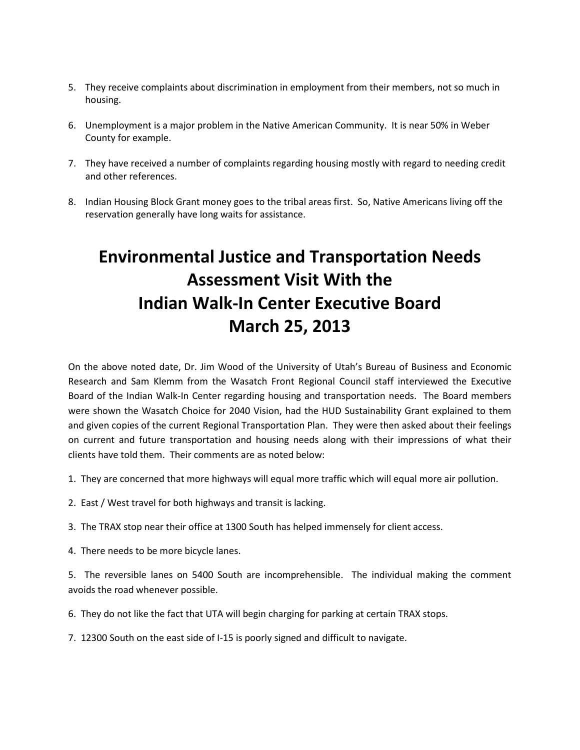- 5. They receive complaints about discrimination in employment from their members, not so much in housing.
- 6. Unemployment is a major problem in the Native American Community. It is near 50% in Weber County for example.
- 7. They have received a number of complaints regarding housing mostly with regard to needing credit and other references.
- 8. Indian Housing Block Grant money goes to the tribal areas first. So, Native Americans living off the reservation generally have long waits for assistance.

# **Environmental Justice and Transportation Needs Assessment Visit With the Indian Walk-In Center Executive Board March 25, 2013**

On the above noted date, Dr. Jim Wood of the University of Utah's Bureau of Business and Economic Research and Sam Klemm from the Wasatch Front Regional Council staff interviewed the Executive Board of the Indian Walk-In Center regarding housing and transportation needs. The Board members were shown the Wasatch Choice for 2040 Vision, had the HUD Sustainability Grant explained to them and given copies of the current Regional Transportation Plan. They were then asked about their feelings on current and future transportation and housing needs along with their impressions of what their clients have told them. Their comments are as noted below:

- 1. They are concerned that more highways will equal more traffic which will equal more air pollution.
- 2. East / West travel for both highways and transit is lacking.
- 3. The TRAX stop near their office at 1300 South has helped immensely for client access.
- 4. There needs to be more bicycle lanes.

5. The reversible lanes on 5400 South are incomprehensible. The individual making the comment avoids the road whenever possible.

- 6. They do not like the fact that UTA will begin charging for parking at certain TRAX stops.
- 7. 12300 South on the east side of I-15 is poorly signed and difficult to navigate.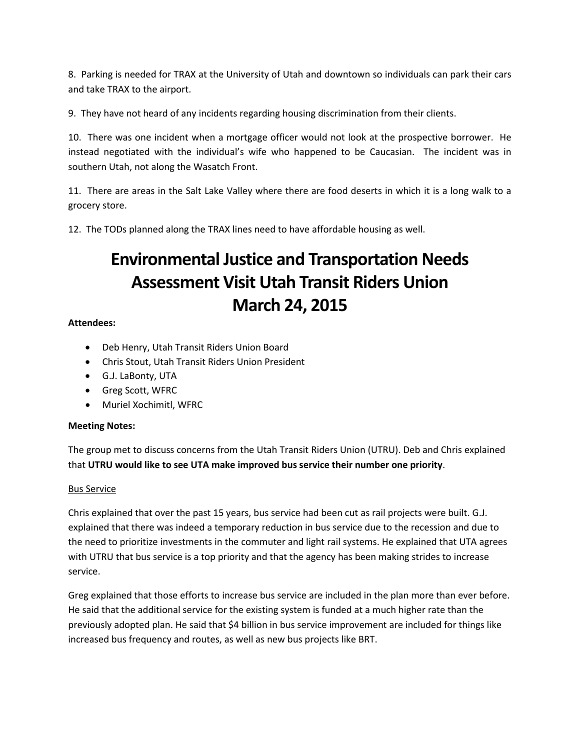8. Parking is needed for TRAX at the University of Utah and downtown so individuals can park their cars and take TRAX to the airport.

9. They have not heard of any incidents regarding housing discrimination from their clients.

10. There was one incident when a mortgage officer would not look at the prospective borrower. He instead negotiated with the individual's wife who happened to be Caucasian. The incident was in southern Utah, not along the Wasatch Front.

11. There are areas in the Salt Lake Valley where there are food deserts in which it is a long walk to a grocery store.

12. The TODs planned along the TRAX lines need to have affordable housing as well.

### **Environmental Justice and Transportation Needs Assessment Visit Utah Transit Riders Union March 24, 2015**

### **Attendees:**

- Deb Henry, Utah Transit Riders Union Board
- Chris Stout, Utah Transit Riders Union President
- G.J. LaBonty, UTA
- Greg Scott, WFRC
- Muriel Xochimitl, WFRC

### **Meeting Notes:**

The group met to discuss concerns from the Utah Transit Riders Union (UTRU). Deb and Chris explained that **UTRU would like to see UTA make improved bus service their number one priority**.

### Bus Service

Chris explained that over the past 15 years, bus service had been cut as rail projects were built. G.J. explained that there was indeed a temporary reduction in bus service due to the recession and due to the need to prioritize investments in the commuter and light rail systems. He explained that UTA agrees with UTRU that bus service is a top priority and that the agency has been making strides to increase service.

Greg explained that those efforts to increase bus service are included in the plan more than ever before. He said that the additional service for the existing system is funded at a much higher rate than the previously adopted plan. He said that \$4 billion in bus service improvement are included for things like increased bus frequency and routes, as well as new bus projects like BRT.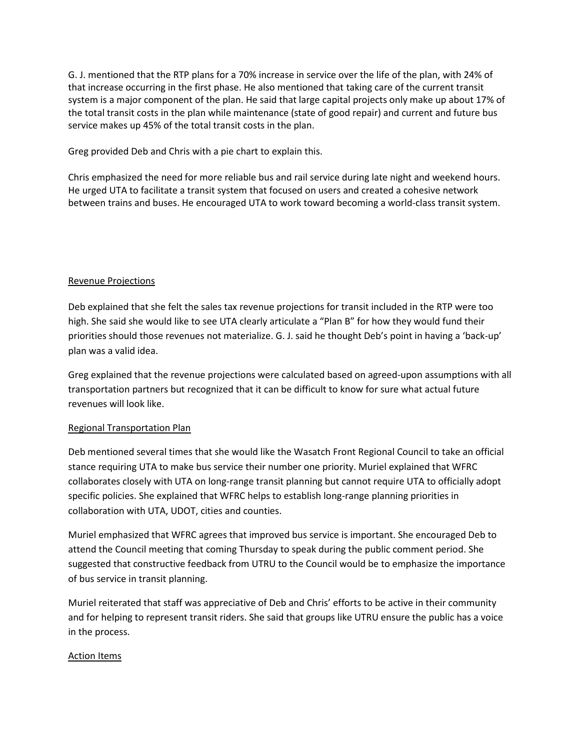G. J. mentioned that the RTP plans for a 70% increase in service over the life of the plan, with 24% of that increase occurring in the first phase. He also mentioned that taking care of the current transit system is a major component of the plan. He said that large capital projects only make up about 17% of the total transit costs in the plan while maintenance (state of good repair) and current and future bus service makes up 45% of the total transit costs in the plan.

Greg provided Deb and Chris with a pie chart to explain this.

Chris emphasized the need for more reliable bus and rail service during late night and weekend hours. He urged UTA to facilitate a transit system that focused on users and created a cohesive network between trains and buses. He encouraged UTA to work toward becoming a world-class transit system.

### Revenue Projections

Deb explained that she felt the sales tax revenue projections for transit included in the RTP were too high. She said she would like to see UTA clearly articulate a "Plan B" for how they would fund their priorities should those revenues not materialize. G. J. said he thought Deb's point in having a 'back-up' plan was a valid idea.

Greg explained that the revenue projections were calculated based on agreed-upon assumptions with all transportation partners but recognized that it can be difficult to know for sure what actual future revenues will look like.

### Regional Transportation Plan

Deb mentioned several times that she would like the Wasatch Front Regional Council to take an official stance requiring UTA to make bus service their number one priority. Muriel explained that WFRC collaborates closely with UTA on long-range transit planning but cannot require UTA to officially adopt specific policies. She explained that WFRC helps to establish long-range planning priorities in collaboration with UTA, UDOT, cities and counties.

Muriel emphasized that WFRC agrees that improved bus service is important. She encouraged Deb to attend the Council meeting that coming Thursday to speak during the public comment period. She suggested that constructive feedback from UTRU to the Council would be to emphasize the importance of bus service in transit planning.

Muriel reiterated that staff was appreciative of Deb and Chris' efforts to be active in their community and for helping to represent transit riders. She said that groups like UTRU ensure the public has a voice in the process.

### Action Items